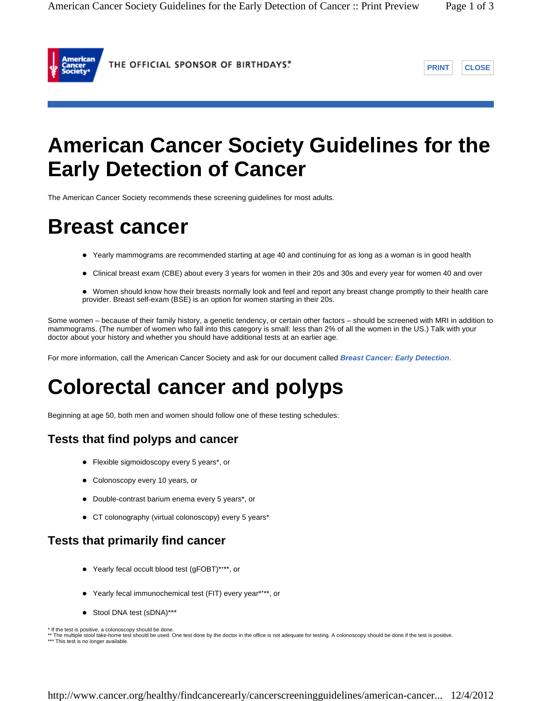

THE OFFICIAL SPONSOR OF BIRTHDAYS.®

| <b>PRINT</b> | <b>CLOSE</b> |
|--------------|--------------|
|              |              |

# **American Cancer Society Guidelines for the Early Detection of Cancer**

The American Cancer Society recommends these screening guidelines for most adults.

## **Breast cancer**

- Yearly mammograms are recommended starting at age 40 and continuing for as long as a woman is in good health
- Clinical breast exam (CBE) about every 3 years for women in their 20s and 30s and every year for women 40 and over
- Women should know how their breasts normally look and feel and report any breast change promptly to their health care provider. Breast self-exam (BSE) is an option for women starting in their 20s.

Some women – because of their family history, a genetic tendency, or certain other factors – should be screened with MRI in addition to mammograms. (The number of women who fall into this category is small: less than 2% of all the women in the US.) Talk with your doctor about your history and whether you should have additional tests at an earlier age.

For more information, call the American Cancer Society and ask for our document called *Breast Cancer: Early Detection*.

# **Colorectal cancer and polyps**

Beginning at age 50, both men and women should follow one of these testing schedules:

### **Tests that find polyps and cancer**

- Flexible sigmoidoscopy every 5 years\*, or
- Colonoscopy every 10 years, or
- Double-contrast barium enema every 5 years\*, or
- CT colonography (virtual colonoscopy) every 5 years\*

### **Tests that primarily find cancer**

- Yearly fecal occult blood test (gFOBT)\*\*\*\*, or
- Yearly fecal immunochemical test (FIT) every year\*\*\*\*, or
- Stool DNA test (sDNA)\*\*\*

<sup>\*</sup> If the test is positive, a colonoscopy should be done.

we read to premive the contract result that the used. One test done by the doctor in the office is not adequate for testing. A colonoscopy should be done if the test is positive. \*\*\* This test is no longer available.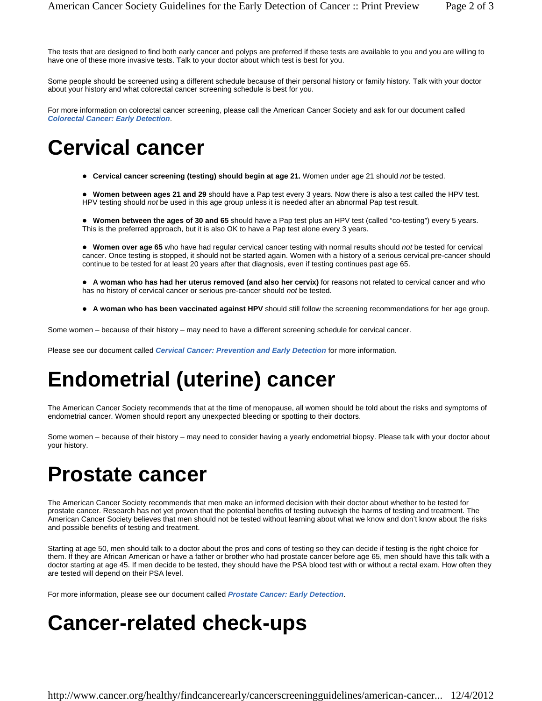The tests that are designed to find both early cancer and polyps are preferred if these tests are available to you and you are willing to have one of these more invasive tests. Talk to your doctor about which test is best for you.

Some people should be screened using a different schedule because of their personal history or family history. Talk with your doctor about your history and what colorectal cancer screening schedule is best for you.

For more information on colorectal cancer screening, please call the American Cancer Society and ask for our document called *Colorectal Cancer: Early Detection*.

# **Cervical cancer**

**• Cervical cancer screening (testing) should begin at age 21.** Women under age 21 should not be tested.

**Women between ages 21 and 29** should have a Pap test every 3 years. Now there is also a test called the HPV test. HPV testing should *not* be used in this age group unless it is needed after an abnormal Pap test result.

**• Women between the ages of 30 and 65** should have a Pap test plus an HPV test (called "co-testing") every 5 years. This is the preferred approach, but it is also OK to have a Pap test alone every 3 years.

**• Women over age 65** who have had regular cervical cancer testing with normal results should *not* be tested for cervical cancer. Once testing is stopped, it should not be started again. Women with a history of a serious cervical pre-cancer should continue to be tested for at least 20 years after that diagnosis, even if testing continues past age 65.

**A woman who has had her uterus removed (and also her cervix)** for reasons not related to cervical cancer and who has no history of cervical cancer or serious pre-cancer should *not* be tested.

**A woman who has been vaccinated against HPV** should still follow the screening recommendations for her age group.

Some women – because of their history – may need to have a different screening schedule for cervical cancer.

Please see our document called *Cervical Cancer: Prevention and Early Detection* for more information.

# **Endometrial (uterine) cancer**

The American Cancer Society recommends that at the time of menopause, all women should be told about the risks and symptoms of endometrial cancer. Women should report any unexpected bleeding or spotting to their doctors.

Some women – because of their history – may need to consider having a yearly endometrial biopsy. Please talk with your doctor about your history.

## **Prostate cancer**

The American Cancer Society recommends that men make an informed decision with their doctor about whether to be tested for prostate cancer. Research has not yet proven that the potential benefits of testing outweigh the harms of testing and treatment. The American Cancer Society believes that men should not be tested without learning about what we know and don't know about the risks and possible benefits of testing and treatment.

Starting at age 50, men should talk to a doctor about the pros and cons of testing so they can decide if testing is the right choice for them. If they are African American or have a father or brother who had prostate cancer before age 65, men should have this talk with a doctor starting at age 45. If men decide to be tested, they should have the PSA blood test with or without a rectal exam. How often they are tested will depend on their PSA level.

For more information, please see our document called *Prostate Cancer: Early Detection*.

# **Cancer-related check-ups**